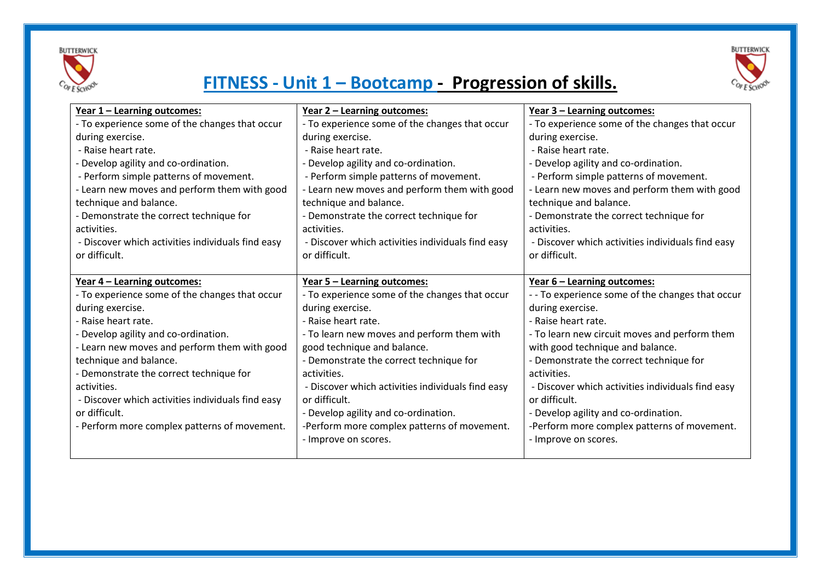



### **FITNESS - Unit 1 – Bootcamp - Progression of skills.**

| Year 1 - Learning outcomes:                       | Year 2 - Learning outcomes:                       | Year 3 - Learning outcomes:                       |
|---------------------------------------------------|---------------------------------------------------|---------------------------------------------------|
| - To experience some of the changes that occur    | - To experience some of the changes that occur    | - To experience some of the changes that occur    |
| during exercise.                                  | during exercise.                                  | during exercise.                                  |
| - Raise heart rate.                               | - Raise heart rate.                               | - Raise heart rate.                               |
| - Develop agility and co-ordination.              | - Develop agility and co-ordination.              | - Develop agility and co-ordination.              |
| - Perform simple patterns of movement.            | - Perform simple patterns of movement.            | - Perform simple patterns of movement.            |
| - Learn new moves and perform them with good      | - Learn new moves and perform them with good      | - Learn new moves and perform them with good      |
| technique and balance.                            | technique and balance.                            | technique and balance.                            |
| - Demonstrate the correct technique for           | - Demonstrate the correct technique for           | - Demonstrate the correct technique for           |
| activities.                                       | activities.                                       | activities.                                       |
| - Discover which activities individuals find easy | - Discover which activities individuals find easy | - Discover which activities individuals find easy |
| or difficult.                                     | or difficult.                                     | or difficult.                                     |
|                                                   |                                                   |                                                   |
| Year 4 - Learning outcomes:                       | Year 5 - Learning outcomes:                       | Year 6 - Learning outcomes:                       |
| - To experience some of the changes that occur    | - To experience some of the changes that occur    | - - To experience some of the changes that occur  |
| during exercise.                                  | during exercise.                                  | during exercise.                                  |
| - Raise heart rate.                               | - Raise heart rate.                               | - Raise heart rate.                               |
| - Develop agility and co-ordination.              | - To learn new moves and perform them with        | - To learn new circuit moves and perform them     |
| - Learn new moves and perform them with good      | good technique and balance.                       | with good technique and balance.                  |
| technique and balance.                            | - Demonstrate the correct technique for           | - Demonstrate the correct technique for           |
| - Demonstrate the correct technique for           | activities.                                       | activities.                                       |
| activities.                                       | - Discover which activities individuals find easy | - Discover which activities individuals find easy |
| - Discover which activities individuals find easy | or difficult.                                     | or difficult.                                     |
| or difficult.                                     | - Develop agility and co-ordination.              | - Develop agility and co-ordination.              |
| - Perform more complex patterns of movement.      | -Perform more complex patterns of movement.       | -Perform more complex patterns of movement.       |
|                                                   | - Improve on scores.                              | - Improve on scores.                              |
|                                                   |                                                   |                                                   |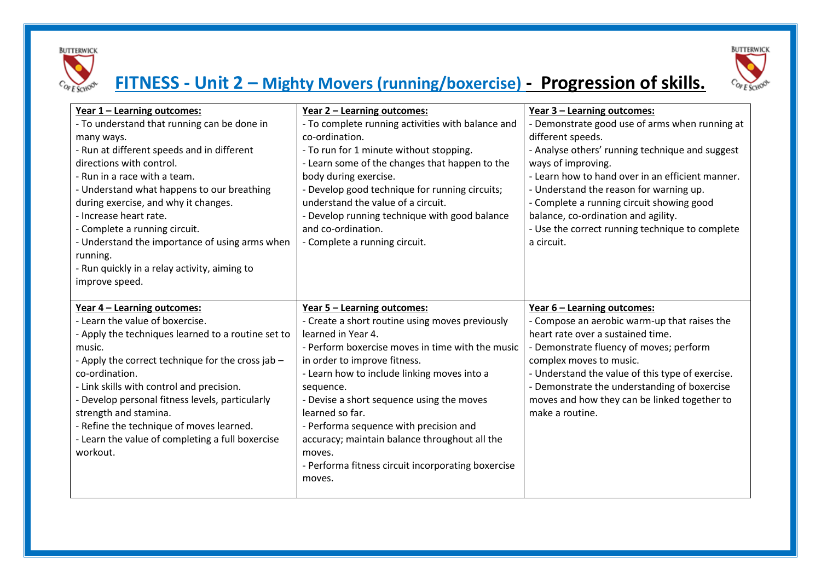



# **FITNESS - Unit 2 – Mighty Movers (running/boxercise) - Progression of skills.**

| Year 1 - Learning outcomes:<br>- To understand that running can be done in<br>many ways.<br>- Run at different speeds and in different<br>directions with control.<br>- Run in a race with a team.<br>- Understand what happens to our breathing                                                                                                                                                                                           | <u>Year 2 - Learning outcomes:</u><br>- To complete running activities with balance and<br>co-ordination.<br>- To run for 1 minute without stopping.<br>- Learn some of the changes that happen to the<br>body during exercise.<br>- Develop good technique for running circuits;                                                                                                                                                                                                                | <u>Year 3 - Learning outcomes:</u><br>- Demonstrate good use of arms when running at<br>different speeds.<br>- Analyse others' running technique and suggest<br>ways of improving.<br>- Learn how to hand over in an efficient manner.<br>- Understand the reason for warning up.                                                                             |
|--------------------------------------------------------------------------------------------------------------------------------------------------------------------------------------------------------------------------------------------------------------------------------------------------------------------------------------------------------------------------------------------------------------------------------------------|--------------------------------------------------------------------------------------------------------------------------------------------------------------------------------------------------------------------------------------------------------------------------------------------------------------------------------------------------------------------------------------------------------------------------------------------------------------------------------------------------|---------------------------------------------------------------------------------------------------------------------------------------------------------------------------------------------------------------------------------------------------------------------------------------------------------------------------------------------------------------|
| during exercise, and why it changes.<br>- Increase heart rate.<br>- Complete a running circuit.<br>- Understand the importance of using arms when<br>running.<br>- Run quickly in a relay activity, aiming to<br>improve speed.                                                                                                                                                                                                            | understand the value of a circuit.<br>- Develop running technique with good balance<br>and co-ordination.<br>- Complete a running circuit.                                                                                                                                                                                                                                                                                                                                                       | - Complete a running circuit showing good<br>balance, co-ordination and agility.<br>- Use the correct running technique to complete<br>a circuit.                                                                                                                                                                                                             |
| Year 4 - Learning outcomes:<br>- Learn the value of boxercise.<br>- Apply the techniques learned to a routine set to<br>music.<br>- Apply the correct technique for the cross jab -<br>co-ordination.<br>- Link skills with control and precision.<br>- Develop personal fitness levels, particularly<br>strength and stamina.<br>- Refine the technique of moves learned.<br>- Learn the value of completing a full boxercise<br>workout. | <u>Year 5 - Learning outcomes:</u><br>- Create a short routine using moves previously<br>learned in Year 4.<br>- Perform boxercise moves in time with the music<br>in order to improve fitness.<br>- Learn how to include linking moves into a<br>sequence.<br>- Devise a short sequence using the moves<br>learned so far.<br>- Performa sequence with precision and<br>accuracy; maintain balance throughout all the<br>moves.<br>- Performa fitness circuit incorporating boxercise<br>moves. | Year 6 - Learning outcomes:<br>- Compose an aerobic warm-up that raises the<br>heart rate over a sustained time.<br>- Demonstrate fluency of moves; perform<br>complex moves to music.<br>- Understand the value of this type of exercise.<br>- Demonstrate the understanding of boxercise<br>moves and how they can be linked together to<br>make a routine. |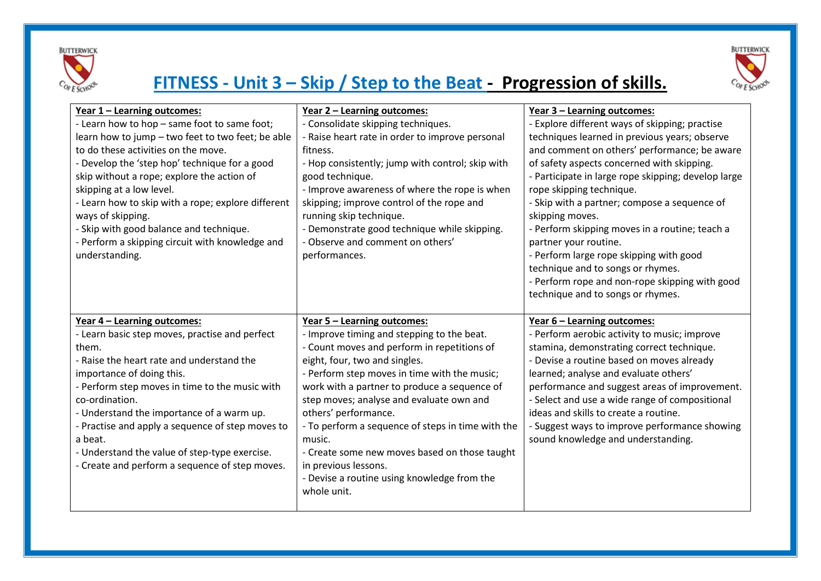



## **FITNESS - Unit 3 – Skip / Step to the Beat - Progression of skills.**

| Year 1 - Learning outcomes:                        | <u>Year 2 - Learning outcomes:</u>                | Year 3 - Learning outcomes:                         |
|----------------------------------------------------|---------------------------------------------------|-----------------------------------------------------|
| - Learn how to hop - same foot to same foot;       | - Consolidate skipping techniques.                | - Explore different ways of skipping; practise      |
| learn how to jump - two feet to two feet; be able  | - Raise heart rate in order to improve personal   | techniques learned in previous years; observe       |
| to do these activities on the move.                | fitness.                                          | and comment on others' performance; be aware        |
| - Develop the 'step hop' technique for a good      | - Hop consistently; jump with control; skip with  | of safety aspects concerned with skipping.          |
| skip without a rope; explore the action of         | good technique.                                   | - Participate in large rope skipping; develop large |
| skipping at a low level.                           | - Improve awareness of where the rope is when     | rope skipping technique.                            |
| - Learn how to skip with a rope; explore different | skipping; improve control of the rope and         | - Skip with a partner; compose a sequence of        |
| ways of skipping.                                  | running skip technique.                           | skipping moves.                                     |
| - Skip with good balance and technique.            | - Demonstrate good technique while skipping.      | - Perform skipping moves in a routine; teach a      |
| - Perform a skipping circuit with knowledge and    | - Observe and comment on others'                  | partner your routine.                               |
| understanding.                                     | performances.                                     | - Perform large rope skipping with good             |
|                                                    |                                                   | technique and to songs or rhymes.                   |
|                                                    |                                                   | - Perform rope and non-rope skipping with good      |
|                                                    |                                                   | technique and to songs or rhymes.                   |
| Year 4 - Learning outcomes:                        | Year 5 - Learning outcomes:                       | Year 6 - Learning outcomes:                         |
| - Learn basic step moves, practise and perfect     | - Improve timing and stepping to the beat.        | - Perform aerobic activity to music; improve        |
| them.                                              | - Count moves and perform in repetitions of       | stamina, demonstrating correct technique.           |
| - Raise the heart rate and understand the          | eight, four, two and singles.                     | - Devise a routine based on moves already           |
| importance of doing this.                          | - Perform step moves in time with the music;      | learned; analyse and evaluate others'               |
| - Perform step moves in time to the music with     | work with a partner to produce a sequence of      | performance and suggest areas of improvement.       |
| co-ordination.                                     | step moves; analyse and evaluate own and          | - Select and use a wide range of compositional      |
| - Understand the importance of a warm up.          | others' performance.                              | ideas and skills to create a routine.               |
| - Practise and apply a sequence of step moves to   | - To perform a sequence of steps in time with the | - Suggest ways to improve performance showing       |
| a beat.                                            | music.                                            | sound knowledge and understanding.                  |
| - Understand the value of step-type exercise.      | - Create some new moves based on those taught     |                                                     |
| - Create and perform a sequence of step moves.     | in previous lessons.                              |                                                     |
|                                                    |                                                   |                                                     |
|                                                    | - Devise a routine using knowledge from the       |                                                     |
|                                                    | whole unit.                                       |                                                     |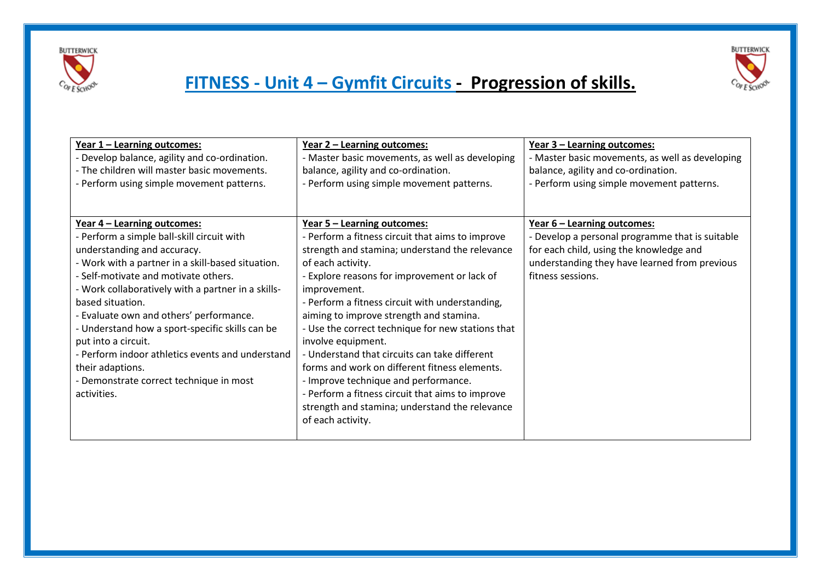



| Year 1 - Learning outcomes:                        | <u>Year 2 - Learning outcomes:</u>                | <u>Year 3 - Learning outcomes:</u>              |
|----------------------------------------------------|---------------------------------------------------|-------------------------------------------------|
| - Develop balance, agility and co-ordination.      | - Master basic movements, as well as developing   | - Master basic movements, as well as developing |
| - The children will master basic movements.        | balance, agility and co-ordination.               | balance, agility and co-ordination.             |
| - Perform using simple movement patterns.          | - Perform using simple movement patterns.         | - Perform using simple movement patterns.       |
|                                                    |                                                   |                                                 |
|                                                    |                                                   |                                                 |
| Year 4 - Learning outcomes:                        | <u>Year 5 - Learning outcomes:</u>                | <u>Year 6 - Learning outcomes:</u>              |
| - Perform a simple ball-skill circuit with         | - Perform a fitness circuit that aims to improve  | - Develop a personal programme that is suitable |
| understanding and accuracy.                        | strength and stamina; understand the relevance    | for each child, using the knowledge and         |
| - Work with a partner in a skill-based situation.  | of each activity.                                 | understanding they have learned from previous   |
| - Self-motivate and motivate others.               | - Explore reasons for improvement or lack of      | fitness sessions.                               |
| - Work collaboratively with a partner in a skills- | improvement.                                      |                                                 |
| based situation.                                   | - Perform a fitness circuit with understanding,   |                                                 |
| - Evaluate own and others' performance.            | aiming to improve strength and stamina.           |                                                 |
| - Understand how a sport-specific skills can be    | - Use the correct technique for new stations that |                                                 |
| put into a circuit.                                | involve equipment.                                |                                                 |
| - Perform indoor athletics events and understand   | - Understand that circuits can take different     |                                                 |
| their adaptions.                                   | forms and work on different fitness elements.     |                                                 |
| - Demonstrate correct technique in most            | - Improve technique and performance.              |                                                 |
| activities.                                        | - Perform a fitness circuit that aims to improve  |                                                 |
|                                                    | strength and stamina; understand the relevance    |                                                 |
|                                                    |                                                   |                                                 |
|                                                    | of each activity.                                 |                                                 |
|                                                    |                                                   |                                                 |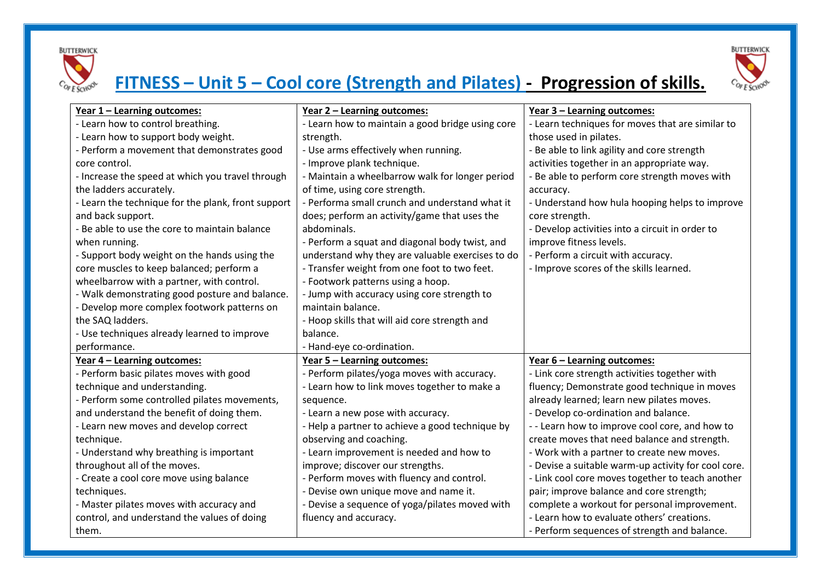



# **FITNESS – Unit 5 – Cool core (Strength and Pilates) - Progression of skills.**

| Year 1 - Learning outcomes:                        | <u>Year 2 - Learning outcomes:</u>               | Year 3 - Learning outcomes:                         |
|----------------------------------------------------|--------------------------------------------------|-----------------------------------------------------|
| - Learn how to control breathing.                  | - Learn how to maintain a good bridge using core | - Learn techniques for moves that are similar to    |
| - Learn how to support body weight.                | strength.                                        | those used in pilates.                              |
| - Perform a movement that demonstrates good        | - Use arms effectively when running.             | - Be able to link agility and core strength         |
| core control.                                      | - Improve plank technique.                       | activities together in an appropriate way.          |
| - Increase the speed at which you travel through   | - Maintain a wheelbarrow walk for longer period  | - Be able to perform core strength moves with       |
| the ladders accurately.                            | of time, using core strength.                    | accuracy.                                           |
| - Learn the technique for the plank, front support | - Performa small crunch and understand what it   | - Understand how hula hooping helps to improve      |
| and back support.                                  | does; perform an activity/game that uses the     | core strength.                                      |
| - Be able to use the core to maintain balance      | abdominals.                                      | - Develop activities into a circuit in order to     |
| when running.                                      | - Perform a squat and diagonal body twist, and   | improve fitness levels.                             |
| - Support body weight on the hands using the       | understand why they are valuable exercises to do | - Perform a circuit with accuracy.                  |
| core muscles to keep balanced; perform a           | - Transfer weight from one foot to two feet.     | - Improve scores of the skills learned.             |
| wheelbarrow with a partner, with control.          | - Footwork patterns using a hoop.                |                                                     |
| - Walk demonstrating good posture and balance.     | - Jump with accuracy using core strength to      |                                                     |
| - Develop more complex footwork patterns on        | maintain balance.                                |                                                     |
| the SAQ ladders.                                   | - Hoop skills that will aid core strength and    |                                                     |
| - Use techniques already learned to improve        | balance.                                         |                                                     |
| performance.                                       | - Hand-eye co-ordination.                        |                                                     |
| <u>Year 4 - Learning outcomes:</u>                 | <u>Year 5 - Learning outcomes:</u>               | Year 6 - Learning outcomes:                         |
| - Perform basic pilates moves with good            | - Perform pilates/yoga moves with accuracy.      | - Link core strength activities together with       |
| technique and understanding.                       | - Learn how to link moves together to make a     | fluency; Demonstrate good technique in moves        |
| - Perform some controlled pilates movements,       | sequence.                                        | already learned; learn new pilates moves.           |
| and understand the benefit of doing them.          | - Learn a new pose with accuracy.                | - Develop co-ordination and balance.                |
| - Learn new moves and develop correct              | - Help a partner to achieve a good technique by  | --Learn how to improve cool core, and how to        |
| technique.                                         | observing and coaching.                          | create moves that need balance and strength.        |
| - Understand why breathing is important            | - Learn improvement is needed and how to         | - Work with a partner to create new moves.          |
| throughout all of the moves.                       | improve; discover our strengths.                 | - Devise a suitable warm-up activity for cool core. |
| - Create a cool core move using balance            | - Perform moves with fluency and control.        | - Link cool core moves together to teach another    |
| techniques.                                        | - Devise own unique move and name it.            | pair; improve balance and core strength;            |
| - Master pilates moves with accuracy and           | - Devise a sequence of yoga/pilates moved with   | complete a workout for personal improvement.        |
| control, and understand the values of doing        | fluency and accuracy.                            | - Learn how to evaluate others' creations.          |
| them.                                              |                                                  | - Perform sequences of strength and balance.        |